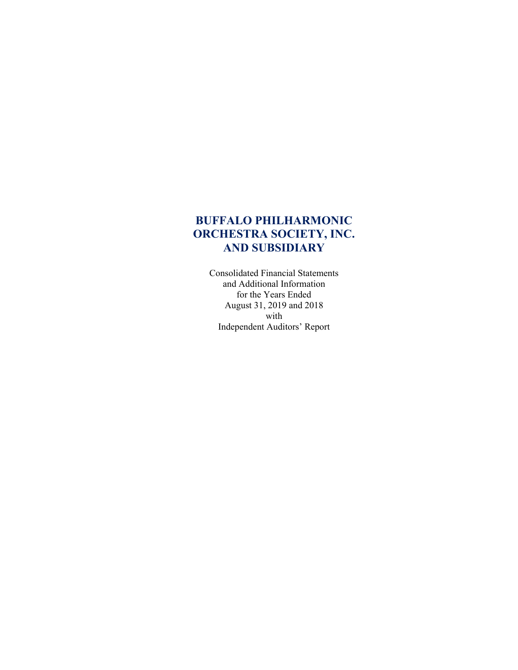Consolidated Financial Statements and Additional Information for the Years Ended August 31, 2019 and 2018 with Independent Auditors' Report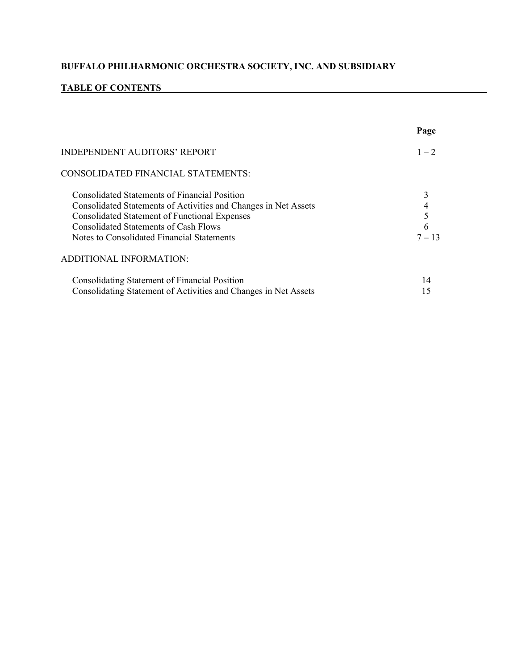# **TABLE OF CONTENTS**

|                                                                                                                                                                                                                                                                               | Page          |
|-------------------------------------------------------------------------------------------------------------------------------------------------------------------------------------------------------------------------------------------------------------------------------|---------------|
| <b>INDEPENDENT AUDITORS' REPORT</b>                                                                                                                                                                                                                                           | $1 - 2$       |
| CONSOLIDATED FINANCIAL STATEMENTS:                                                                                                                                                                                                                                            |               |
| <b>Consolidated Statements of Financial Position</b><br>Consolidated Statements of Activities and Changes in Net Assets<br><b>Consolidated Statement of Functional Expenses</b><br><b>Consolidated Statements of Cash Flows</b><br>Notes to Consolidated Financial Statements | 6<br>$7 - 13$ |
| <b>ADDITIONAL INFORMATION:</b>                                                                                                                                                                                                                                                |               |
| Consolidating Statement of Financial Position<br>Consolidating Statement of Activities and Changes in Net Assets                                                                                                                                                              | 14<br>15      |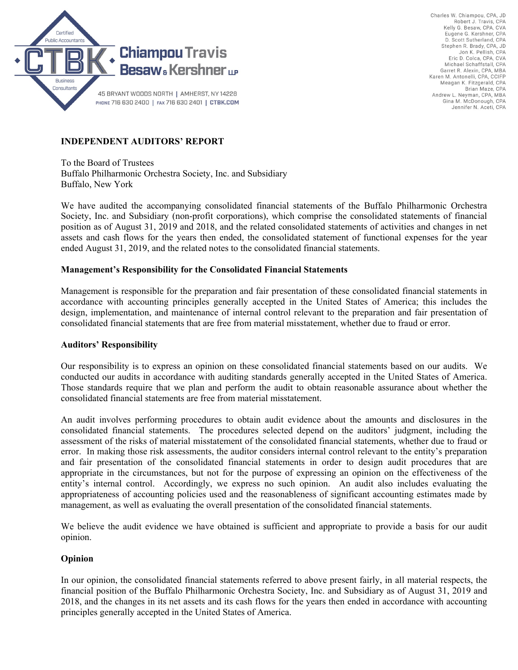

Charles W. Chiampou, CPA, JD Robert J. Travis, CPA Kelly G. Besaw, CPA, CVA Eugene G. Kershner, CPA D. Scott Sutherland, CPA Stephen R. Brady, CPA, JD<br>Jon K. Pellish, CPA Eric D. Colca, CPA, CVA Michael Schaffstall, CPA Garret R. Alexin, CPA, MBA Karen M. Antonelli, CPA, CCIFP Meagan K. Fitzgerald, CPA Brian Maze, CPA Andrew L. Neyman, CPA, MBA Gina M. McDonough, CPA Jennifer N. Aceti, CPA

# **INDEPENDENT AUDITORS' REPORT**

To the Board of Trustees Buffalo Philharmonic Orchestra Society, Inc. and Subsidiary Buffalo, New York

We have audited the accompanying consolidated financial statements of the Buffalo Philharmonic Orchestra Society, Inc. and Subsidiary (non-profit corporations), which comprise the consolidated statements of financial position as of August 31, 2019 and 2018, and the related consolidated statements of activities and changes in net assets and cash flows for the years then ended, the consolidated statement of functional expenses for the year ended August 31, 2019, and the related notes to the consolidated financial statements.

### **Management's Responsibility for the Consolidated Financial Statements**

Management is responsible for the preparation and fair presentation of these consolidated financial statements in accordance with accounting principles generally accepted in the United States of America; this includes the design, implementation, and maintenance of internal control relevant to the preparation and fair presentation of consolidated financial statements that are free from material misstatement, whether due to fraud or error.

### **Auditors' Responsibility**

Our responsibility is to express an opinion on these consolidated financial statements based on our audits. We conducted our audits in accordance with auditing standards generally accepted in the United States of America. Those standards require that we plan and perform the audit to obtain reasonable assurance about whether the consolidated financial statements are free from material misstatement.

An audit involves performing procedures to obtain audit evidence about the amounts and disclosures in the consolidated financial statements. The procedures selected depend on the auditors' judgment, including the assessment of the risks of material misstatement of the consolidated financial statements, whether due to fraud or error. In making those risk assessments, the auditor considers internal control relevant to the entity's preparation and fair presentation of the consolidated financial statements in order to design audit procedures that are appropriate in the circumstances, but not for the purpose of expressing an opinion on the effectiveness of the entity's internal control. Accordingly, we express no such opinion. An audit also includes evaluating the appropriateness of accounting policies used and the reasonableness of significant accounting estimates made by management, as well as evaluating the overall presentation of the consolidated financial statements.

We believe the audit evidence we have obtained is sufficient and appropriate to provide a basis for our audit opinion.

### **Opinion**

In our opinion, the consolidated financial statements referred to above present fairly, in all material respects, the financial position of the Buffalo Philharmonic Orchestra Society, Inc. and Subsidiary as of August 31, 2019 and 2018, and the changes in its net assets and its cash flows for the years then ended in accordance with accounting principles generally accepted in the United States of America.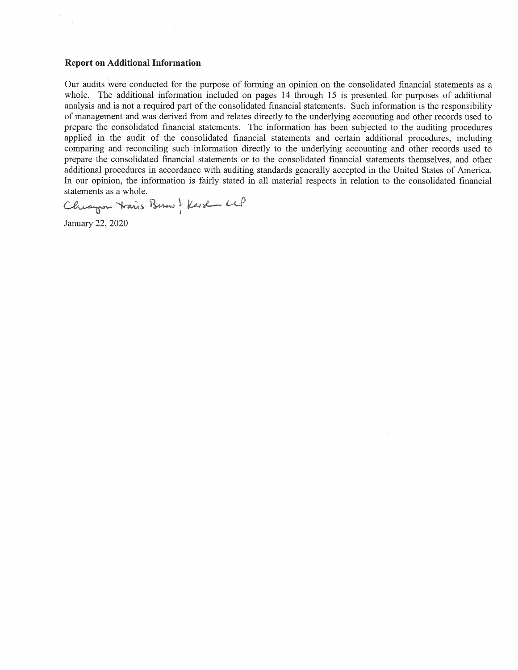#### **Report on Additional Information**

Our audits were conducted for the purpose of forming an opinion on the consolidated financial statements as a whole. The additional information included on pages 14 through 15 is presented for purposes of additional analysis and is not a required part of the consolidated financial statements. Such information is the responsibility of management and was derived from and relates directly to the underlying accounting and other records used to prepare the consolidated financial statements. The information has been subjected to the auditing procedures applied in the audit of the consolidated financial statements and certain additional procedures, including comparing and reconciling such information directly to the underlying accounting and other records used to prepare the consolidated financial statements or to the consolidated financial statements themselves, and other additional procedures in accordance with auditing standards generally accepted in the United States of America. In our opinion, the information is fairly stated in all material respects in relation to the consolidated financial statements as a whole.

Chianger Hais Berne & Kerst Le January 22, 2020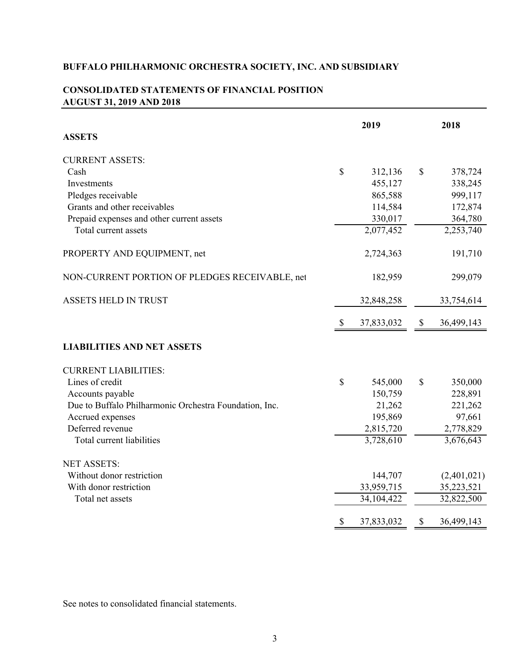|                                                        |              | 2019       |    | 2018        |
|--------------------------------------------------------|--------------|------------|----|-------------|
| <b>ASSETS</b>                                          |              |            |    |             |
| <b>CURRENT ASSETS:</b>                                 |              |            |    |             |
| Cash                                                   | \$           | 312,136    | \$ | 378,724     |
| Investments                                            |              | 455,127    |    | 338,245     |
| Pledges receivable                                     |              | 865,588    |    | 999,117     |
| Grants and other receivables                           |              | 114,584    |    | 172,874     |
| Prepaid expenses and other current assets              |              | 330,017    |    | 364,780     |
| Total current assets                                   |              | 2,077,452  |    | 2,253,740   |
| PROPERTY AND EQUIPMENT, net                            |              | 2,724,363  |    | 191,710     |
| NON-CURRENT PORTION OF PLEDGES RECEIVABLE, net         |              | 182,959    |    | 299,079     |
| <b>ASSETS HELD IN TRUST</b>                            |              | 32,848,258 |    | 33,754,614  |
|                                                        | \$           | 37,833,032 | \$ | 36,499,143  |
| <b>LIABILITIES AND NET ASSETS</b>                      |              |            |    |             |
| <b>CURRENT LIABILITIES:</b>                            |              |            |    |             |
| Lines of credit                                        | $\mathbb{S}$ | 545,000    | \$ | 350,000     |
| Accounts payable                                       |              | 150,759    |    | 228,891     |
| Due to Buffalo Philharmonic Orchestra Foundation, Inc. |              | 21,262     |    | 221,262     |
| Accrued expenses                                       |              | 195,869    |    | 97,661      |
| Deferred revenue                                       |              | 2,815,720  |    | 2,778,829   |
| Total current liabilities                              |              | 3,728,610  |    | 3,676,643   |
| <b>NET ASSETS:</b>                                     |              |            |    |             |
| Without donor restriction                              |              | 144,707    |    | (2,401,021) |
| With donor restriction                                 |              | 33,959,715 |    | 35,223,521  |
| Total net assets                                       |              | 34,104,422 |    | 32,822,500  |
|                                                        | \$           | 37,833,032 | S  | 36,499,143  |

## **CONSOLIDATED STATEMENTS OF FINANCIAL POSITION AUGUST 31, 2019 AND 2018**

See notes to consolidated financial statements.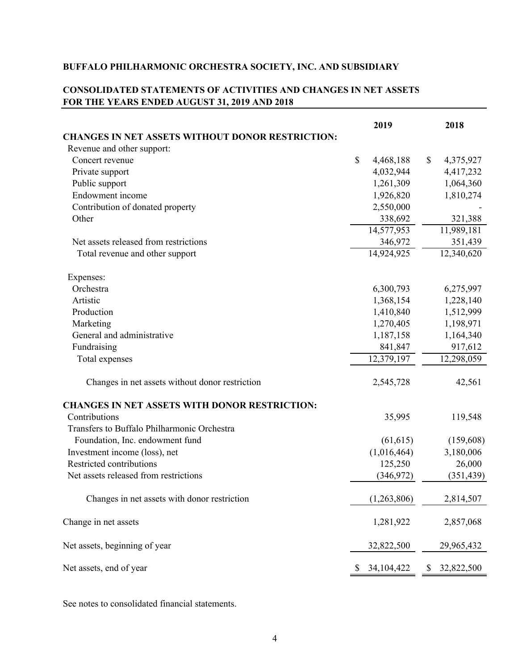## **CONSOLIDATED STATEMENTS OF ACTIVITIES AND CHANGES IN NET ASSETS FOR THE YEARS ENDED AUGUST 31, 2019 AND 2018**

|                                                         | 2019               |              | 2018       |
|---------------------------------------------------------|--------------------|--------------|------------|
| <b>CHANGES IN NET ASSETS WITHOUT DONOR RESTRICTION:</b> |                    |              |            |
| Revenue and other support:                              |                    |              |            |
| Concert revenue                                         | \$<br>4,468,188    | $\mathbb{S}$ | 4,375,927  |
| Private support                                         | 4,032,944          |              | 4,417,232  |
| Public support                                          | 1,261,309          |              | 1,064,360  |
| Endowment income                                        | 1,926,820          |              | 1,810,274  |
| Contribution of donated property                        | 2,550,000          |              |            |
| Other                                                   | 338,692            |              | 321,388    |
|                                                         | 14,577,953         |              | 11,989,181 |
| Net assets released from restrictions                   | 346,972            |              | 351,439    |
| Total revenue and other support                         | 14,924,925         |              | 12,340,620 |
| Expenses:                                               |                    |              |            |
| Orchestra                                               | 6,300,793          |              | 6,275,997  |
| Artistic                                                | 1,368,154          |              | 1,228,140  |
| Production                                              | 1,410,840          |              | 1,512,999  |
| Marketing                                               | 1,270,405          |              | 1,198,971  |
| General and administrative                              | 1,187,158          |              | 1,164,340  |
| Fundraising                                             | 841,847            |              | 917,612    |
| Total expenses                                          | 12,379,197         |              | 12,298,059 |
| Changes in net assets without donor restriction         | 2,545,728          |              | 42,561     |
| <b>CHANGES IN NET ASSETS WITH DONOR RESTRICTION:</b>    |                    |              |            |
| Contributions                                           | 35,995             |              | 119,548    |
| Transfers to Buffalo Philharmonic Orchestra             |                    |              |            |
| Foundation, Inc. endowment fund                         | (61, 615)          |              | (159,608)  |
| Investment income (loss), net                           | (1,016,464)        |              | 3,180,006  |
| Restricted contributions                                | 125,250            |              | 26,000     |
| Net assets released from restrictions                   | (346,972)          |              | (351, 439) |
| Changes in net assets with donor restriction            | (1,263,806)        |              | 2,814,507  |
| Change in net assets                                    | 1,281,922          |              | 2,857,068  |
| Net assets, beginning of year                           | 32,822,500         |              | 29,965,432 |
| Net assets, end of year                                 | \$<br>34, 104, 422 | \$           | 32,822,500 |

See notes to consolidated financial statements.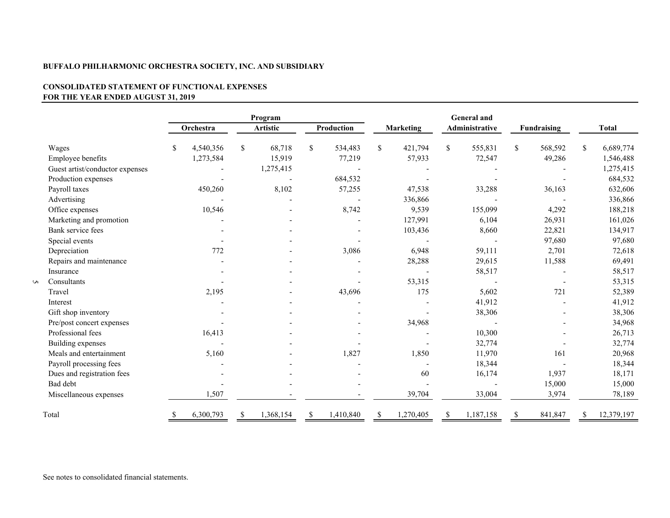#### **CONSOLIDATED STATEMENT OF FUNCTIONAL EXPENSES FOR THE YEAR ENDED AUGUST 31, 2019**

|   |                                 |    |           |   | Program         |                 | <b>General</b> and |                  |                       |           |               |                    |              |            |
|---|---------------------------------|----|-----------|---|-----------------|-----------------|--------------------|------------------|-----------------------|-----------|---------------|--------------------|--------------|------------|
|   |                                 |    | Orchestra |   | <b>Artistic</b> | Production      |                    | <b>Marketing</b> | <b>Administrative</b> |           |               | <b>Fundraising</b> | <b>Total</b> |            |
|   | Wages                           | S  | 4,540,356 | S | 68,718          | \$<br>534,483   | \$.                | 421,794          | $\mathbb{S}$          | 555,831   | <sup>\$</sup> | 568,592            | \$           | 6,689,774  |
|   | Employee benefits               |    | 1,273,584 |   | 15,919          | 77,219          |                    | 57,933           |                       | 72,547    |               | 49,286             |              | 1,546,488  |
|   | Guest artist/conductor expenses |    |           |   | 1,275,415       |                 |                    |                  |                       |           |               |                    |              | 1,275,415  |
|   | Production expenses             |    |           |   |                 | 684,532         |                    |                  |                       |           |               |                    |              | 684,532    |
|   | Payroll taxes                   |    | 450,260   |   | 8,102           | 57,255          |                    | 47,538           |                       | 33,288    |               | 36,163             |              | 632,606    |
|   | Advertising                     |    |           |   |                 |                 |                    | 336,866          |                       |           |               |                    |              | 336,866    |
|   | Office expenses                 |    | 10,546    |   |                 | 8,742           |                    | 9,539            |                       | 155,099   |               | 4,292              |              | 188,218    |
|   | Marketing and promotion         |    |           |   |                 |                 |                    | 127,991          |                       | 6,104     |               | 26,931             |              | 161,026    |
|   | Bank service fees               |    |           |   |                 |                 |                    | 103,436          |                       | 8,660     |               | 22,821             |              | 134,917    |
|   | Special events                  |    |           |   |                 |                 |                    |                  |                       |           |               | 97,680             |              | 97,680     |
|   | Depreciation                    |    | 772       |   |                 | 3,086           |                    | 6,948            |                       | 59,111    |               | 2,701              |              | 72,618     |
|   | Repairs and maintenance         |    |           |   |                 |                 |                    | 28,288           |                       | 29,615    |               | 11,588             |              | 69,491     |
|   | Insurance                       |    |           |   |                 |                 |                    |                  |                       | 58,517    |               |                    |              | 58,517     |
| S | Consultants                     |    |           |   |                 |                 |                    | 53,315           |                       |           |               |                    |              | 53,315     |
|   | Travel                          |    | 2,195     |   |                 | 43,696          |                    | 175              |                       | 5,602     |               | 721                |              | 52,389     |
|   | Interest                        |    |           |   |                 |                 |                    |                  |                       | 41,912    |               |                    |              | 41,912     |
|   | Gift shop inventory             |    |           |   |                 |                 |                    |                  |                       | 38,306    |               |                    |              | 38,306     |
|   | Pre/post concert expenses       |    |           |   |                 |                 |                    | 34,968           |                       |           |               |                    |              | 34,968     |
|   | Professional fees               |    | 16,413    |   |                 |                 |                    |                  |                       | 10,300    |               |                    |              | 26,713     |
|   | Building expenses               |    |           |   |                 |                 |                    |                  |                       | 32,774    |               |                    |              | 32,774     |
|   | Meals and entertainment         |    | 5,160     |   |                 | 1,827           |                    | 1,850            |                       | 11,970    |               | 161                |              | 20,968     |
|   | Payroll processing fees         |    |           |   |                 |                 |                    |                  |                       | 18,344    |               |                    |              | 18,344     |
|   | Dues and registration fees      |    |           |   |                 |                 |                    | 60               |                       | 16,174    |               | 1,937              |              | 18,171     |
|   | Bad debt                        |    |           |   |                 |                 |                    |                  |                       |           |               | 15,000             |              | 15,000     |
|   | Miscellaneous expenses          |    | 1,507     |   |                 |                 |                    | 39,704           |                       | 33,004    |               | 3,974              |              | 78,189     |
|   | Total                           | S. | 6,300,793 | S | 1,368,154       | \$<br>1,410,840 |                    | 1,270,405        |                       | 1,187,158 |               | 841,847            |              | 12,379,197 |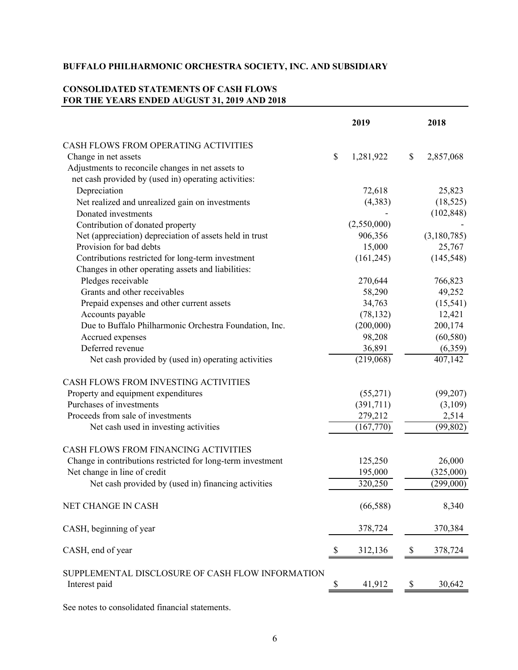## **CONSOLIDATED STATEMENTS OF CASH FLOWS FOR THE YEARS ENDED AUGUST 31, 2019 AND 2018**

|                                                                   | 2019            |                            | 2018        |
|-------------------------------------------------------------------|-----------------|----------------------------|-------------|
| CASH FLOWS FROM OPERATING ACTIVITIES                              |                 |                            |             |
| Change in net assets                                              | \$<br>1,281,922 | \$                         | 2,857,068   |
| Adjustments to reconcile changes in net assets to                 |                 |                            |             |
| net cash provided by (used in) operating activities:              |                 |                            |             |
| Depreciation                                                      | 72,618          |                            | 25,823      |
| Net realized and unrealized gain on investments                   | (4,383)         |                            | (18, 525)   |
| Donated investments                                               |                 |                            | (102, 848)  |
| Contribution of donated property                                  | (2,550,000)     |                            |             |
| Net (appreciation) depreciation of assets held in trust           | 906,356         |                            | (3,180,785) |
| Provision for bad debts                                           | 15,000          |                            | 25,767      |
| Contributions restricted for long-term investment                 | (161, 245)      |                            | (145, 548)  |
| Changes in other operating assets and liabilities:                |                 |                            |             |
| Pledges receivable                                                | 270,644         |                            | 766,823     |
| Grants and other receivables                                      | 58,290          |                            | 49,252      |
| Prepaid expenses and other current assets                         | 34,763          |                            | (15, 541)   |
| Accounts payable                                                  | (78, 132)       |                            | 12,421      |
| Due to Buffalo Philharmonic Orchestra Foundation, Inc.            | (200,000)       |                            | 200,174     |
| Accrued expenses                                                  | 98,208          |                            | (60, 580)   |
| Deferred revenue                                                  | 36,891          |                            | (6,359)     |
| Net cash provided by (used in) operating activities               | (219,068)       |                            | 407,142     |
| CASH FLOWS FROM INVESTING ACTIVITIES                              |                 |                            |             |
| Property and equipment expenditures                               | (55,271)        |                            | (99,207)    |
| Purchases of investments                                          | (391,711)       |                            | (3,109)     |
| Proceeds from sale of investments                                 | 279,212         |                            | 2,514       |
| Net cash used in investing activities                             | (167,770)       |                            | (99, 802)   |
| CASH FLOWS FROM FINANCING ACTIVITIES                              |                 |                            |             |
| Change in contributions restricted for long-term investment       | 125,250         |                            | 26,000      |
| Net change in line of credit                                      | 195,000         |                            | (325,000)   |
| Net cash provided by (used in) financing activities               | 320,250         |                            | (299,000)   |
| NET CHANGE IN CASH                                                | (66, 588)       |                            | 8,340       |
| CASH, beginning of year                                           | 378,724         |                            | 370,384     |
| CASH, end of year                                                 | \$<br>312,136   | \$                         | 378,724     |
| SUPPLEMENTAL DISCLOSURE OF CASH FLOW INFORMATION<br>Interest paid | \$<br>41,912    | $\boldsymbol{\mathcal{S}}$ | 30,642      |

See notes to consolidated financial statements.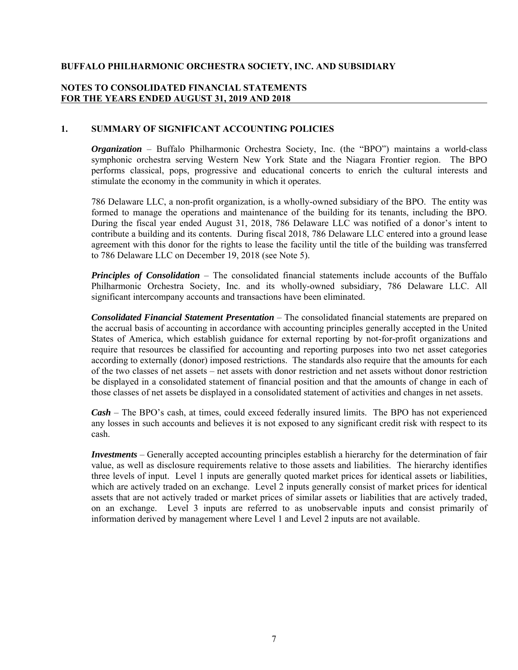### **NOTES TO CONSOLIDATED FINANCIAL STATEMENTS FOR THE YEARS ENDED AUGUST 31, 2019 AND 2018**

### **1. SUMMARY OF SIGNIFICANT ACCOUNTING POLICIES**

*Organization* – Buffalo Philharmonic Orchestra Society, Inc. (the "BPO") maintains a world-class symphonic orchestra serving Western New York State and the Niagara Frontier region. The BPO performs classical, pops, progressive and educational concerts to enrich the cultural interests and stimulate the economy in the community in which it operates.

786 Delaware LLC, a non-profit organization, is a wholly-owned subsidiary of the BPO. The entity was formed to manage the operations and maintenance of the building for its tenants, including the BPO. During the fiscal year ended August 31, 2018, 786 Delaware LLC was notified of a donor's intent to contribute a building and its contents. During fiscal 2018, 786 Delaware LLC entered into a ground lease agreement with this donor for the rights to lease the facility until the title of the building was transferred to 786 Delaware LLC on December 19, 2018 (see Note 5).

*Principles of Consolidation* – The consolidated financial statements include accounts of the Buffalo Philharmonic Orchestra Society, Inc. and its wholly-owned subsidiary, 786 Delaware LLC. All significant intercompany accounts and transactions have been eliminated.

*Consolidated Financial Statement Presentation* – The consolidated financial statements are prepared on the accrual basis of accounting in accordance with accounting principles generally accepted in the United States of America, which establish guidance for external reporting by not-for-profit organizations and require that resources be classified for accounting and reporting purposes into two net asset categories according to externally (donor) imposed restrictions. The standards also require that the amounts for each of the two classes of net assets – net assets with donor restriction and net assets without donor restriction be displayed in a consolidated statement of financial position and that the amounts of change in each of those classes of net assets be displayed in a consolidated statement of activities and changes in net assets.

*Cash* – The BPO's cash, at times, could exceed federally insured limits. The BPO has not experienced any losses in such accounts and believes it is not exposed to any significant credit risk with respect to its cash.

*Investments* – Generally accepted accounting principles establish a hierarchy for the determination of fair value, as well as disclosure requirements relative to those assets and liabilities. The hierarchy identifies three levels of input. Level 1 inputs are generally quoted market prices for identical assets or liabilities, which are actively traded on an exchange. Level 2 inputs generally consist of market prices for identical assets that are not actively traded or market prices of similar assets or liabilities that are actively traded, on an exchange. Level 3 inputs are referred to as unobservable inputs and consist primarily of information derived by management where Level 1 and Level 2 inputs are not available.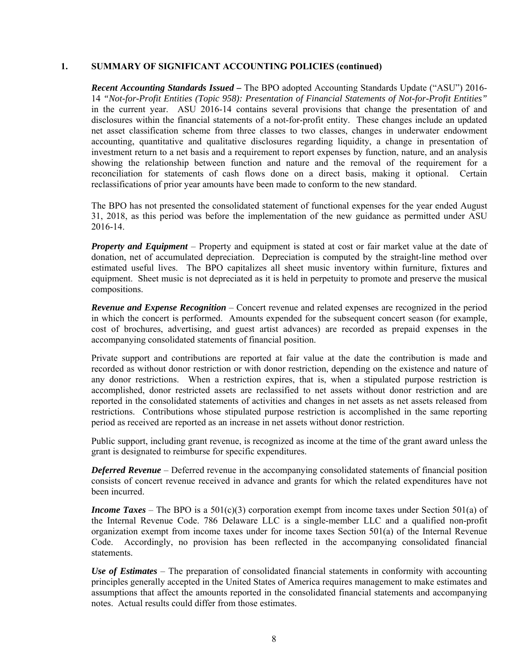### **1. SUMMARY OF SIGNIFICANT ACCOUNTING POLICIES (continued)**

*Recent Accounting Standards Issued –* The BPO adopted Accounting Standards Update ("ASU") 2016- 14 *"Not-for-Profit Entities (Topic 958): Presentation of Financial Statements of Not-for-Profit Entities"* in the current year. ASU 2016-14 contains several provisions that change the presentation of and disclosures within the financial statements of a not-for-profit entity. These changes include an updated net asset classification scheme from three classes to two classes, changes in underwater endowment accounting, quantitative and qualitative disclosures regarding liquidity, a change in presentation of investment return to a net basis and a requirement to report expenses by function, nature, and an analysis showing the relationship between function and nature and the removal of the requirement for a reconciliation for statements of cash flows done on a direct basis, making it optional. Certain reclassifications of prior year amounts have been made to conform to the new standard.

The BPO has not presented the consolidated statement of functional expenses for the year ended August 31, 2018, as this period was before the implementation of the new guidance as permitted under ASU 2016-14.

*Property and Equipment* – Property and equipment is stated at cost or fair market value at the date of donation, net of accumulated depreciation. Depreciation is computed by the straight-line method over estimated useful lives. The BPO capitalizes all sheet music inventory within furniture, fixtures and equipment. Sheet music is not depreciated as it is held in perpetuity to promote and preserve the musical compositions.

*Revenue and Expense Recognition* – Concert revenue and related expenses are recognized in the period in which the concert is performed. Amounts expended for the subsequent concert season (for example, cost of brochures, advertising, and guest artist advances) are recorded as prepaid expenses in the accompanying consolidated statements of financial position.

Private support and contributions are reported at fair value at the date the contribution is made and recorded as without donor restriction or with donor restriction, depending on the existence and nature of any donor restrictions. When a restriction expires, that is, when a stipulated purpose restriction is accomplished, donor restricted assets are reclassified to net assets without donor restriction and are reported in the consolidated statements of activities and changes in net assets as net assets released from restrictions. Contributions whose stipulated purpose restriction is accomplished in the same reporting period as received are reported as an increase in net assets without donor restriction.

Public support, including grant revenue, is recognized as income at the time of the grant award unless the grant is designated to reimburse for specific expenditures.

*Deferred Revenue* – Deferred revenue in the accompanying consolidated statements of financial position consists of concert revenue received in advance and grants for which the related expenditures have not been incurred.

*Income Taxes* – The BPO is a 501(c)(3) corporation exempt from income taxes under Section 501(a) of the Internal Revenue Code. 786 Delaware LLC is a single-member LLC and a qualified non-profit organization exempt from income taxes under for income taxes Section 501(a) of the Internal Revenue Code. Accordingly, no provision has been reflected in the accompanying consolidated financial statements.

*Use of Estimates* – The preparation of consolidated financial statements in conformity with accounting principles generally accepted in the United States of America requires management to make estimates and assumptions that affect the amounts reported in the consolidated financial statements and accompanying notes. Actual results could differ from those estimates.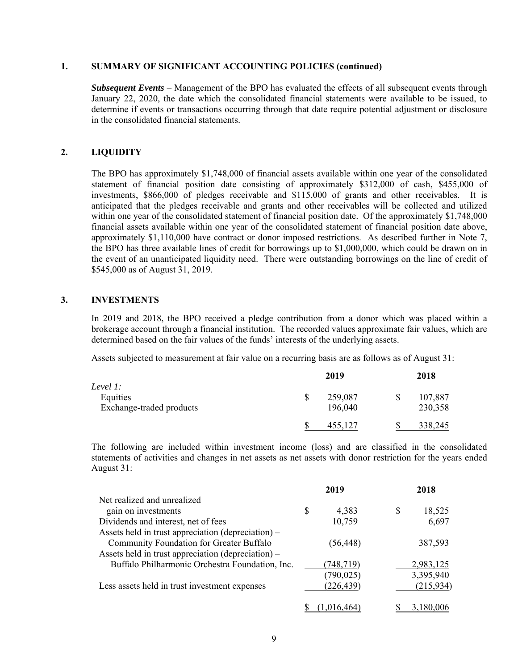#### **1. SUMMARY OF SIGNIFICANT ACCOUNTING POLICIES (continued)**

*Subsequent Events* – Management of the BPO has evaluated the effects of all subsequent events through January 22, 2020, the date which the consolidated financial statements were available to be issued, to determine if events or transactions occurring through that date require potential adjustment or disclosure in the consolidated financial statements.

### **2. LIQUIDITY**

The BPO has approximately \$1,748,000 of financial assets available within one year of the consolidated statement of financial position date consisting of approximately \$312,000 of cash, \$455,000 of investments, \$866,000 of pledges receivable and \$115,000 of grants and other receivables. It is anticipated that the pledges receivable and grants and other receivables will be collected and utilized within one year of the consolidated statement of financial position date. Of the approximately \$1,748,000 financial assets available within one year of the consolidated statement of financial position date above, approximately \$1,110,000 have contract or donor imposed restrictions. As described further in Note 7, the BPO has three available lines of credit for borrowings up to \$1,000,000, which could be drawn on in the event of an unanticipated liquidity need. There were outstanding borrowings on the line of credit of \$545,000 as of August 31, 2019.

### **3. INVESTMENTS**

In 2019 and 2018, the BPO received a pledge contribution from a donor which was placed within a brokerage account through a financial institution. The recorded values approximate fair values, which are determined based on the fair values of the funds' interests of the underlying assets.

Assets subjected to measurement at fair value on a recurring basis are as follows as of August 31:

| Level 1:                             | 2019               | 2018                     |  |  |  |  |
|--------------------------------------|--------------------|--------------------------|--|--|--|--|
| Equities<br>Exchange-traded products | 259,087<br>196,040 | 107,887<br>\$<br>230,358 |  |  |  |  |
|                                      | <u>455,127</u>     | 338,245                  |  |  |  |  |

The following are included within investment income (loss) and are classified in the consolidated statements of activities and changes in net assets as net assets with donor restriction for the years ended August 31:

|                                                    | 2019        | 2018         |
|----------------------------------------------------|-------------|--------------|
| Net realized and unrealized                        |             |              |
| gain on investments                                | \$<br>4,383 | \$<br>18,525 |
| Dividends and interest, net of fees                | 10,759      | 6,697        |
| Assets held in trust appreciation (depreciation) – |             |              |
| Community Foundation for Greater Buffalo           | (56, 448)   | 387,593      |
| Assets held in trust appreciation (depreciation) – |             |              |
| Buffalo Philharmonic Orchestra Foundation, Inc.    | (748,719)   | 2,983,125    |
|                                                    | (790, 025)  | 3,395,940    |
| Less assets held in trust investment expenses      | (226,439)   | (215, 934)   |
|                                                    |             |              |
|                                                    |             | 3.180.006    |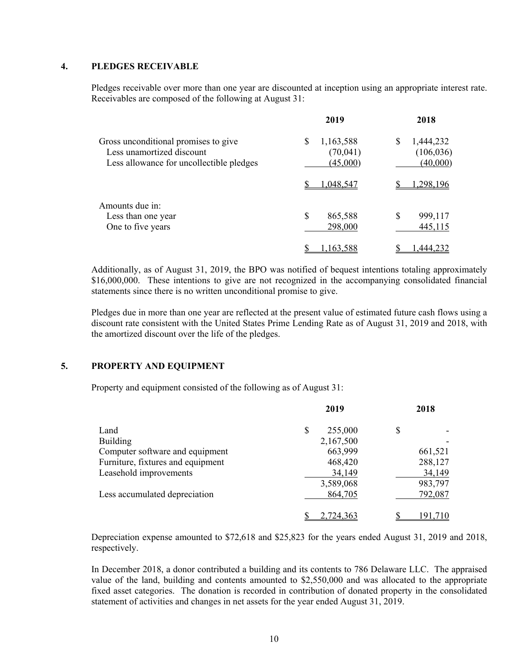### **4. PLEDGES RECEIVABLE**

Pledges receivable over more than one year are discounted at inception using an appropriate interest rate. Receivables are composed of the following at August 31:

|                                                                                                               | 2019                                   | 2018                                     |
|---------------------------------------------------------------------------------------------------------------|----------------------------------------|------------------------------------------|
| Gross unconditional promises to give<br>Less unamortized discount<br>Less allowance for uncollectible pledges | 1,163,588<br>S<br>(70,041)<br>(45,000) | 1,444,232<br>S<br>(106, 036)<br>(40,000) |
|                                                                                                               | 1,048,547                              | ,298,196                                 |
| Amounts due in:<br>Less than one year<br>One to five years                                                    | S<br>865,588<br>298,000                | \$<br>999,117<br>445,115                 |
|                                                                                                               | 1,163,588                              | ,444,232                                 |

Additionally, as of August 31, 2019, the BPO was notified of bequest intentions totaling approximately \$16,000,000. These intentions to give are not recognized in the accompanying consolidated financial statements since there is no written unconditional promise to give.

Pledges due in more than one year are reflected at the present value of estimated future cash flows using a discount rate consistent with the United States Prime Lending Rate as of August 31, 2019 and 2018, with the amortized discount over the life of the pledges.

### **5. PROPERTY AND EQUIPMENT**

Property and equipment consisted of the following as of August 31:

| 2019         | 2018    |
|--------------|---------|
| 255,000<br>S | \$      |
| 2,167,500    |         |
| 663,999      | 661,521 |
| 468,420      | 288,127 |
| 34,149       | 34,149  |
| 3,589,068    | 983,797 |
| 864,705      | 792,087 |
| 2.724.363    |         |
|              |         |

Depreciation expense amounted to \$72,618 and \$25,823 for the years ended August 31, 2019 and 2018, respectively.

In December 2018, a donor contributed a building and its contents to 786 Delaware LLC. The appraised value of the land, building and contents amounted to \$2,550,000 and was allocated to the appropriate fixed asset categories. The donation is recorded in contribution of donated property in the consolidated statement of activities and changes in net assets for the year ended August 31, 2019.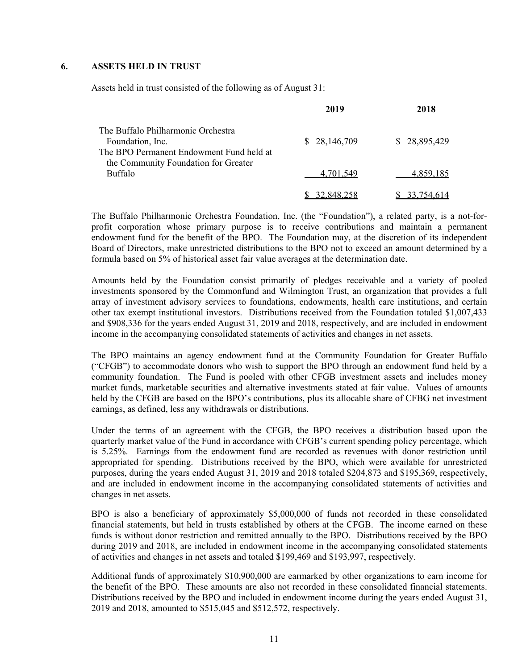#### **6. ASSETS HELD IN TRUST**

Assets held in trust consisted of the following as of August 31:

|                                                                                                    | 2019         | 2018         |
|----------------------------------------------------------------------------------------------------|--------------|--------------|
| The Buffalo Philharmonic Orchestra<br>Foundation, Inc.<br>The BPO Permanent Endowment Fund held at | \$28,146,709 | \$28,895,429 |
| the Community Foundation for Greater<br>Buffalo                                                    | 4,701,549    | 4,859,185    |
|                                                                                                    |              |              |

The Buffalo Philharmonic Orchestra Foundation, Inc. (the "Foundation"), a related party, is a not-forprofit corporation whose primary purpose is to receive contributions and maintain a permanent endowment fund for the benefit of the BPO. The Foundation may, at the discretion of its independent Board of Directors, make unrestricted distributions to the BPO not to exceed an amount determined by a formula based on 5% of historical asset fair value averages at the determination date.

Amounts held by the Foundation consist primarily of pledges receivable and a variety of pooled investments sponsored by the Commonfund and Wilmington Trust, an organization that provides a full array of investment advisory services to foundations, endowments, health care institutions, and certain other tax exempt institutional investors. Distributions received from the Foundation totaled \$1,007,433 and \$908,336 for the years ended August 31, 2019 and 2018, respectively, and are included in endowment income in the accompanying consolidated statements of activities and changes in net assets.

The BPO maintains an agency endowment fund at the Community Foundation for Greater Buffalo ("CFGB") to accommodate donors who wish to support the BPO through an endowment fund held by a community foundation. The Fund is pooled with other CFGB investment assets and includes money market funds, marketable securities and alternative investments stated at fair value. Values of amounts held by the CFGB are based on the BPO's contributions, plus its allocable share of CFBG net investment earnings, as defined, less any withdrawals or distributions.

Under the terms of an agreement with the CFGB, the BPO receives a distribution based upon the quarterly market value of the Fund in accordance with CFGB's current spending policy percentage, which is 5.25%. Earnings from the endowment fund are recorded as revenues with donor restriction until appropriated for spending. Distributions received by the BPO, which were available for unrestricted purposes, during the years ended August 31, 2019 and 2018 totaled \$204,873 and \$195,369, respectively, and are included in endowment income in the accompanying consolidated statements of activities and changes in net assets.

BPO is also a beneficiary of approximately \$5,000,000 of funds not recorded in these consolidated financial statements, but held in trusts established by others at the CFGB. The income earned on these funds is without donor restriction and remitted annually to the BPO. Distributions received by the BPO during 2019 and 2018, are included in endowment income in the accompanying consolidated statements of activities and changes in net assets and totaled \$199,469 and \$193,997, respectively.

Additional funds of approximately \$10,900,000 are earmarked by other organizations to earn income for the benefit of the BPO. These amounts are also not recorded in these consolidated financial statements. Distributions received by the BPO and included in endowment income during the years ended August 31, 2019 and 2018, amounted to \$515,045 and \$512,572, respectively.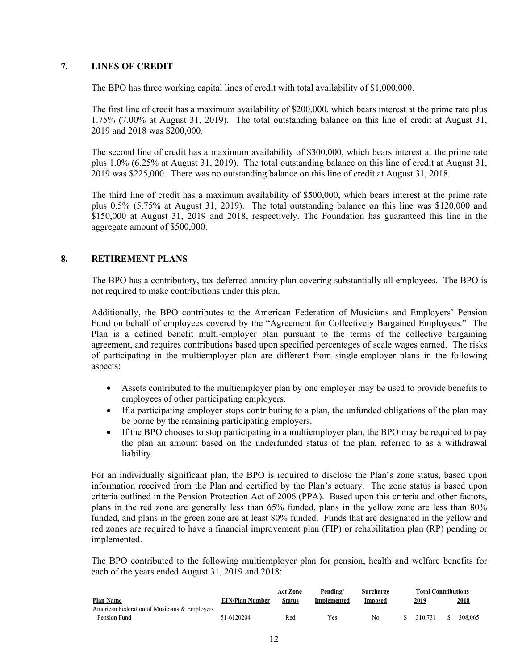### **7. LINES OF CREDIT**

The BPO has three working capital lines of credit with total availability of \$1,000,000.

The first line of credit has a maximum availability of \$200,000, which bears interest at the prime rate plus 1.75% (7.00% at August 31, 2019). The total outstanding balance on this line of credit at August 31, 2019 and 2018 was \$200,000.

The second line of credit has a maximum availability of \$300,000, which bears interest at the prime rate plus 1.0% (6.25% at August 31, 2019). The total outstanding balance on this line of credit at August 31, 2019 was \$225,000. There was no outstanding balance on this line of credit at August 31, 2018.

The third line of credit has a maximum availability of \$500,000, which bears interest at the prime rate plus 0.5% (5.75% at August 31, 2019). The total outstanding balance on this line was \$120,000 and \$150,000 at August 31, 2019 and 2018, respectively. The Foundation has guaranteed this line in the aggregate amount of \$500,000.

### **8. RETIREMENT PLANS**

The BPO has a contributory, tax-deferred annuity plan covering substantially all employees. The BPO is not required to make contributions under this plan.

Additionally, the BPO contributes to the American Federation of Musicians and Employers' Pension Fund on behalf of employees covered by the "Agreement for Collectively Bargained Employees." The Plan is a defined benefit multi-employer plan pursuant to the terms of the collective bargaining agreement, and requires contributions based upon specified percentages of scale wages earned. The risks of participating in the multiemployer plan are different from single-employer plans in the following aspects:

- Assets contributed to the multiemployer plan by one employer may be used to provide benefits to employees of other participating employers.
- If a participating employer stops contributing to a plan, the unfunded obligations of the plan may be borne by the remaining participating employers.
- If the BPO chooses to stop participating in a multiemployer plan, the BPO may be required to pay the plan an amount based on the underfunded status of the plan, referred to as a withdrawal liability.

For an individually significant plan, the BPO is required to disclose the Plan's zone status, based upon information received from the Plan and certified by the Plan's actuary. The zone status is based upon criteria outlined in the Pension Protection Act of 2006 (PPA). Based upon this criteria and other factors, plans in the red zone are generally less than 65% funded, plans in the yellow zone are less than 80% funded, and plans in the green zone are at least 80% funded. Funds that are designated in the yellow and red zones are required to have a financial improvement plan (FIP) or rehabilitation plan (RP) pending or implemented.

The BPO contributed to the following multiemployer plan for pension, health and welfare benefits for each of the years ended August 31, 2019 and 2018:

|                                              |                        | Act Zone | Pending/    | Surcharge | <b>Total Contributions</b> |             |
|----------------------------------------------|------------------------|----------|-------------|-----------|----------------------------|-------------|
| <b>Plan Name</b>                             | <b>EIN/Plan Number</b> | Status   | Implemented | Imposed   | 2019                       | <u>2018</u> |
| American Federation of Musicians & Employers |                        |          |             |           |                            |             |
| Pension Fund                                 | 51-6120204             | Red      | Yes         | No        | 310.731                    | 308,065     |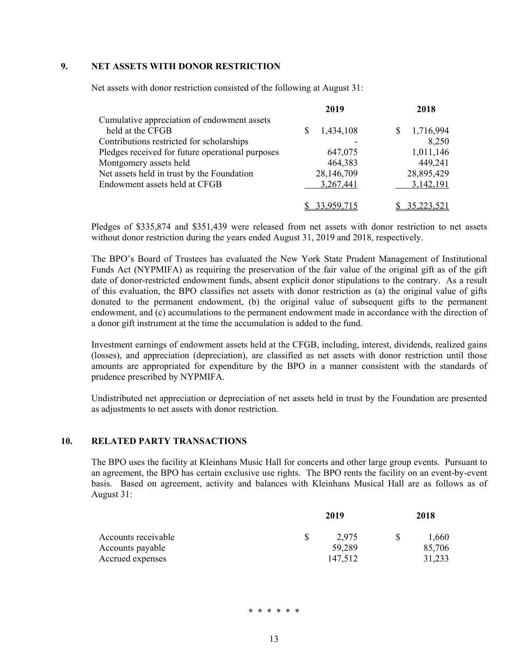### **9. NET ASSETS WITH DONOR RESTRICTION**

Net assets with donor restriction consisted of the following at August 31:

|                                                  | 2019       | 2018              |
|--------------------------------------------------|------------|-------------------|
| Cumulative appreciation of endowment assets      |            |                   |
| held at the CFGB                                 | 1,434,108  | 1,716,994         |
| Contributions restricted for scholarships        |            | 8,250             |
| Pledges received for future operational purposes | 647,075    | 1,011,146         |
| Montgomery assets held                           | 464,383    | 449,241           |
| Net assets held in trust by the Foundation       | 28,146,709 | 28,895,429        |
| Endowment assets held at CFGB                    | 3,267,441  | 3,142,191         |
|                                                  |            | <u>35,223,521</u> |

Pledges of \$335,874 and \$351,439 were released from net assets with donor restriction to net assets without donor restriction during the years ended August 31, 2019 and 2018, respectively.

The BPO's Board of Trustees has evaluated the New York State Prudent Management of Institutional Funds Act (NYPMIFA) as requiring the preservation of the fair value of the original gift as of the gift date of donor-restricted endowment funds, absent explicit donor stipulations to the contrary. As a result of this evaluation, the BPO classifies net assets with donor restriction as (a) the original value of gifts donated to the permanent endowment, (b) the original value of subsequent gifts to the permanent endowment, and (c) accumulations to the permanent endowment made in accordance with the direction of a donor gift instrument at the time the accumulation is added to the fund.

Investment earnings of endowment assets held at the CFGB, including, interest, dividends, realized gains (losses), and appreciation (depreciation), are classified as net assets with donor restriction until those amounts are appropriated for expenditure by the BPO in a manner consistent with the standards of prudence prescribed by NYPMIFA.

Undistributed net appreciation or depreciation of net assets held in trust by the Foundation are presented as adjustments to net assets with donor restriction.

#### **10. RELATED PARTY TRANSACTIONS**

The BPO uses the facility at Kleinhans Music Hall for concerts and other large group events. Pursuant to an agreement, the BPO has certain exclusive use rights. The BPO rents the facility on an event-by-event basis. Based on agreement, activity and balances with Kleinhans Musical Hall are as follows as of August 31:

| Accounts receivable | 2019 |         | 2018 |        |
|---------------------|------|---------|------|--------|
|                     |      | 2,975   |      | 1,660  |
| Accounts payable    |      | 59,289  |      | 85,706 |
| Accrued expenses    |      | 147.512 |      | 31,233 |

\* \* \* \* \* \*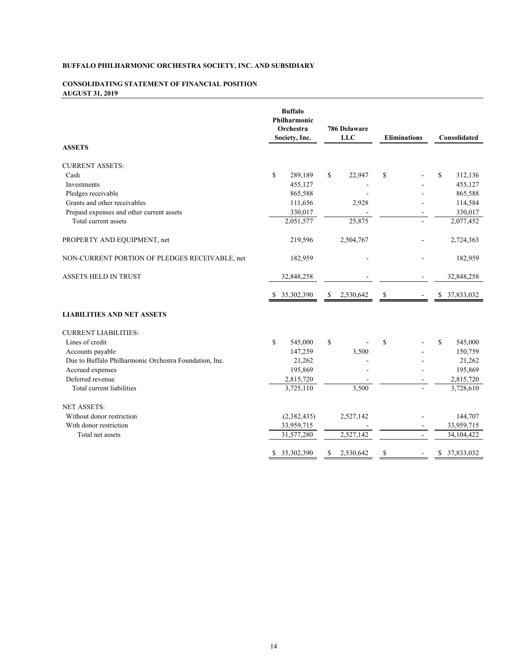#### **CONSOLIDATING STATEMENT OF FINANCIAL POSITION AUGUST 31, 2019**

|                                                        | <b>Buffalo</b><br>Philharmonic<br>Orchestra<br>Society, Inc. | 786 Delaware<br><b>LLC</b> | <b>Eliminations</b> | Consolidated     |
|--------------------------------------------------------|--------------------------------------------------------------|----------------------------|---------------------|------------------|
| <b>ASSETS</b>                                          |                                                              |                            |                     |                  |
| <b>CURRENT ASSETS:</b>                                 |                                                              |                            |                     |                  |
| Cash                                                   | $\mathbf S$<br>289,189                                       | \$<br>22,947               | \$                  | \$<br>312,136    |
| Investments                                            | 455,127                                                      |                            |                     | 455,127          |
| Pledges receivable                                     | 865,588                                                      |                            |                     | 865,588          |
| Grants and other receivables                           | 111,656                                                      | 2,928                      |                     | 114,584          |
| Prepaid expenses and other current assets              | 330,017                                                      |                            |                     | 330,017          |
| Total current assets                                   | 2,051,577                                                    | 25,875                     |                     | 2,077,452        |
| PROPERTY AND EQUIPMENT, net                            | 219,596                                                      | 2,504,767                  |                     | 2,724,363        |
| NON-CURRENT PORTION OF PLEDGES RECEIVABLE, net         | 182,959                                                      |                            |                     | 182,959          |
| <b>ASSETS HELD IN TRUST</b>                            | 32,848,258                                                   |                            |                     | 32,848,258       |
|                                                        | \$ 35,302,390                                                | 2,530,642<br>\$            | \$                  | 37,833,032<br>S  |
| <b>LIABILITIES AND NET ASSETS</b>                      |                                                              |                            |                     |                  |
| <b>CURRENT LIABILITIES:</b>                            |                                                              |                            |                     |                  |
| Lines of credit                                        | \$<br>545,000                                                | \$                         | $\mathbf S$         | \$<br>545,000    |
| Accounts payable                                       | 147,259                                                      | 3,500                      |                     | 150,759          |
| Due to Buffalo Philharmonic Orchestra Foundation, Inc. | 21,262                                                       |                            |                     | 21,262           |
| Accrued expenses                                       | 195,869                                                      |                            |                     | 195,869          |
| Deferred revenue                                       | 2,815,720                                                    |                            |                     | 2,815,720        |
| Total current liabilities                              | 3,725,110                                                    | 3,500                      |                     | 3,728,610        |
| <b>NET ASSETS:</b>                                     |                                                              |                            |                     |                  |
| Without donor restriction                              | (2,382,435)                                                  | 2,527,142                  |                     | 144,707          |
| With donor restriction                                 | 33,959,715                                                   | $\sim$                     |                     | 33,959,715       |
| Total net assets                                       | 31,577,280                                                   | 2,527,142                  | $\overline{a}$      | 34,104,422       |
|                                                        | 35,302,390<br>\$                                             | S<br>2,530,642             | \$                  | \$<br>37,833,032 |